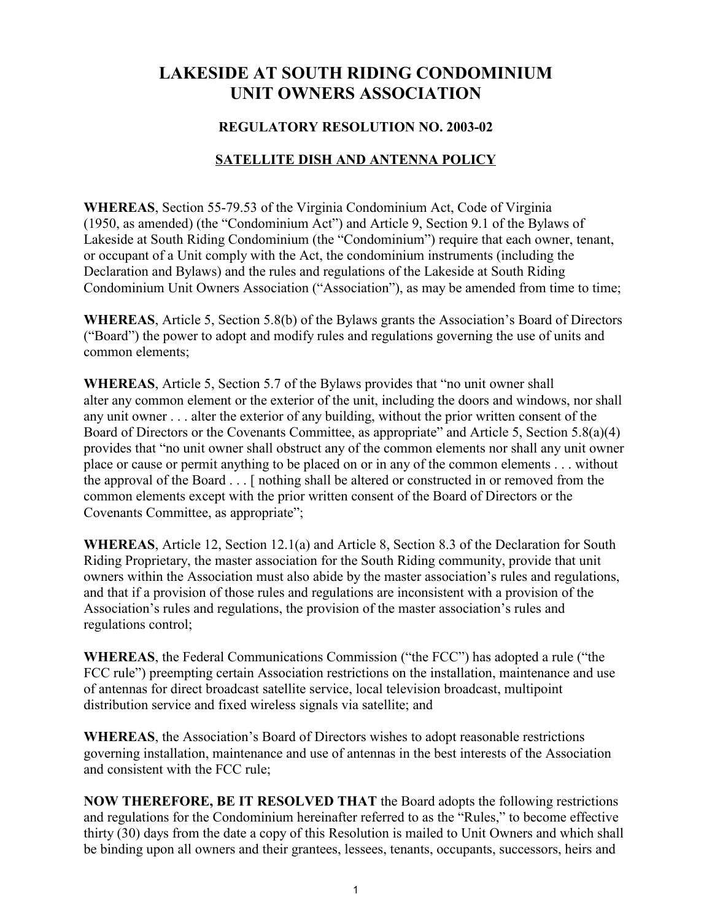# LAKESIDE AT SOUTH RIDING CONDOMINIUM UNIT OWNERS ASSOCIATION

#### REGULATORY RESOLUTION NO. 2003-02

#### SATELLITE DISH AND ANTENNA POLICY

WHEREAS, Section 55-79.53 of the Virginia Condominium Act, Code of Virginia (1950, as amended) (the "Condominium Act") and Article 9, Section 9.1 of the Bylaws of Lakeside at South Riding Condominium (the "Condominium") require that each owner, tenant, or occupant of a Unit comply with the Act, the condominium instruments (including the Declaration and Bylaws) and the rules and regulations of the Lakeside at South Riding Condominium Unit Owners Association ("Association"), as may be amended from time to time;

WHEREAS, Article 5, Section 5.8(b) of the Bylaws grants the Association's Board of Directors ("Board") the power to adopt and modify rules and regulations governing the use of units and common elements;

WHEREAS, Article 5, Section 5.7 of the Bylaws provides that "no unit owner shall alter any common element or the exterior of the unit, including the doors and windows, nor shall any unit owner . . . alter the exterior of any building, without the prior written consent of the Board of Directors or the Covenants Committee, as appropriate" and Article 5, Section 5.8(a)(4) provides that "no unit owner shall obstruct any of the common elements nor shall any unit owner place or cause or permit anything to be placed on or in any of the common elements . . . without the approval of the Board . . . [ nothing shall be altered or constructed in or removed from the common elements except with the prior written consent of the Board of Directors or the Covenants Committee, as appropriate";

WHEREAS, Article 12, Section 12.1(a) and Article 8, Section 8.3 of the Declaration for South Riding Proprietary, the master association for the South Riding community, provide that unit owners within the Association must also abide by the master association's rules and regulations, and that if a provision of those rules and regulations are inconsistent with a provision of the Association's rules and regulations, the provision of the master association's rules and regulations control;

WHEREAS, the Federal Communications Commission ("the FCC") has adopted a rule ("the FCC rule") preempting certain Association restrictions on the installation, maintenance and use of antennas for direct broadcast satellite service, local television broadcast, multipoint distribution service and fixed wireless signals via satellite; and

WHEREAS, the Association's Board of Directors wishes to adopt reasonable restrictions governing installation, maintenance and use of antennas in the best interests of the Association and consistent with the FCC rule;

NOW THEREFORE, BE IT RESOLVED THAT the Board adopts the following restrictions and regulations for the Condominium hereinafter referred to as the "Rules," to become effective thirty (30) days from the date a copy of this Resolution is mailed to Unit Owners and which shall be binding upon all owners and their grantees, lessees, tenants, occupants, successors, heirs and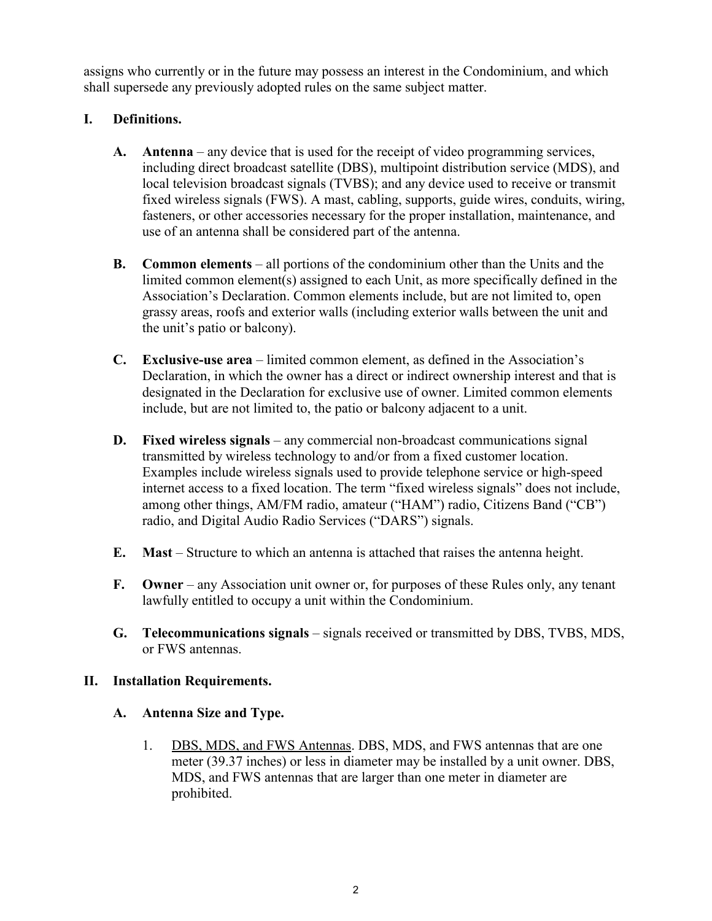assigns who currently or in the future may possess an interest in the Condominium, and which shall supersede any previously adopted rules on the same subject matter.

# I. Definitions.

- A. Antenna any device that is used for the receipt of video programming services, including direct broadcast satellite (DBS), multipoint distribution service (MDS), and local television broadcast signals (TVBS); and any device used to receive or transmit fixed wireless signals (FWS). A mast, cabling, supports, guide wires, conduits, wiring, fasteners, or other accessories necessary for the proper installation, maintenance, and use of an antenna shall be considered part of the antenna.
- B. Common elements all portions of the condominium other than the Units and the limited common element(s) assigned to each Unit, as more specifically defined in the Association's Declaration. Common elements include, but are not limited to, open grassy areas, roofs and exterior walls (including exterior walls between the unit and the unit's patio or balcony).
- C. Exclusive-use area limited common element, as defined in the Association's Declaration, in which the owner has a direct or indirect ownership interest and that is designated in the Declaration for exclusive use of owner. Limited common elements include, but are not limited to, the patio or balcony adjacent to a unit.
- D. Fixed wireless signals any commercial non-broadcast communications signal transmitted by wireless technology to and/or from a fixed customer location. Examples include wireless signals used to provide telephone service or high-speed internet access to a fixed location. The term "fixed wireless signals" does not include, among other things, AM/FM radio, amateur ("HAM") radio, Citizens Band ("CB") radio, and Digital Audio Radio Services ("DARS") signals.
- E. Mast Structure to which an antenna is attached that raises the antenna height.
- F. Owner any Association unit owner or, for purposes of these Rules only, any tenant lawfully entitled to occupy a unit within the Condominium.
- G. Telecommunications signals signals received or transmitted by DBS, TVBS, MDS, or FWS antennas.

#### II. Installation Requirements.

- A. Antenna Size and Type.
	- 1. DBS, MDS, and FWS Antennas. DBS, MDS, and FWS antennas that are one meter (39.37 inches) or less in diameter may be installed by a unit owner. DBS, MDS, and FWS antennas that are larger than one meter in diameter are prohibited.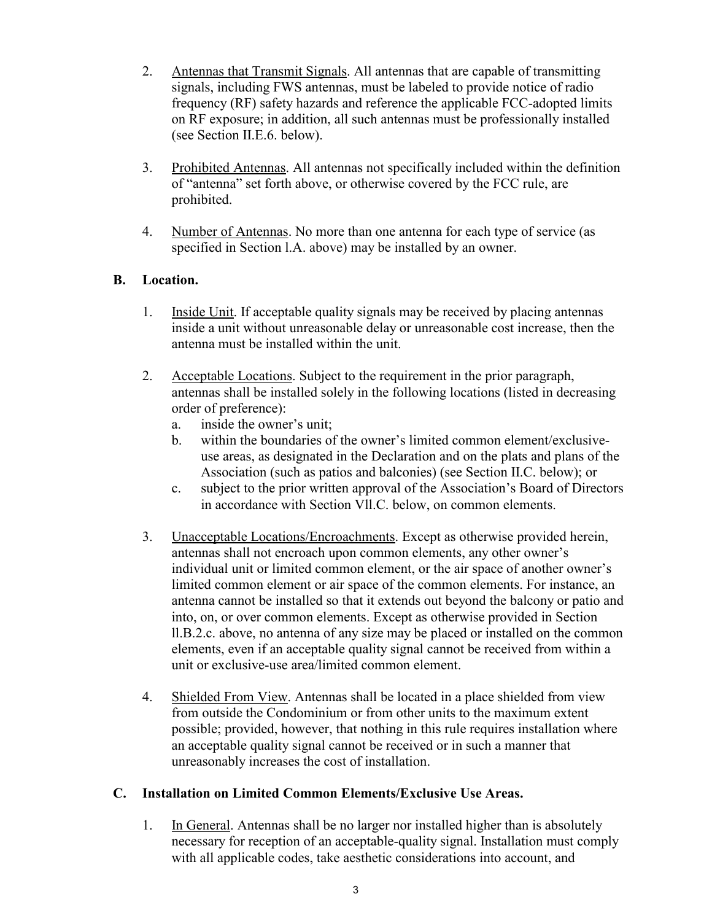- 2. Antennas that Transmit Signals. All antennas that are capable of transmitting signals, including FWS antennas, must be labeled to provide notice of radio frequency (RF) safety hazards and reference the applicable FCC-adopted limits on RF exposure; in addition, all such antennas must be professionally installed (see Section II.E.6. below).
- 3. Prohibited Antennas. All antennas not specifically included within the definition of "antenna" set forth above, or otherwise covered by the FCC rule, are prohibited.
- 4. Number of Antennas. No more than one antenna for each type of service (as specified in Section l.A. above) may be installed by an owner.

#### B. Location.

- 1. Inside Unit. If acceptable quality signals may be received by placing antennas inside a unit without unreasonable delay or unreasonable cost increase, then the antenna must be installed within the unit.
- 2. Acceptable Locations. Subject to the requirement in the prior paragraph, antennas shall be installed solely in the following locations (listed in decreasing order of preference):
	- a. inside the owner's unit;
	- b. within the boundaries of the owner's limited common element/exclusiveuse areas, as designated in the Declaration and on the plats and plans of the Association (such as patios and balconies) (see Section II.C. below); or
	- c. subject to the prior written approval of the Association's Board of Directors in accordance with Section Vll.C. below, on common elements.
- 3. Unacceptable Locations/Encroachments. Except as otherwise provided herein, antennas shall not encroach upon common elements, any other owner's individual unit or limited common element, or the air space of another owner's limited common element or air space of the common elements. For instance, an antenna cannot be installed so that it extends out beyond the balcony or patio and into, on, or over common elements. Except as otherwise provided in Section ll.B.2.c. above, no antenna of any size may be placed or installed on the common elements, even if an acceptable quality signal cannot be received from within a unit or exclusive-use area/limited common element.
- 4. Shielded From View. Antennas shall be located in a place shielded from view from outside the Condominium or from other units to the maximum extent possible; provided, however, that nothing in this rule requires installation where an acceptable quality signal cannot be received or in such a manner that unreasonably increases the cost of installation.

#### C. Installation on Limited Common Elements/Exclusive Use Areas.

1. In General. Antennas shall be no larger nor installed higher than is absolutely necessary for reception of an acceptable-quality signal. Installation must comply with all applicable codes, take aesthetic considerations into account, and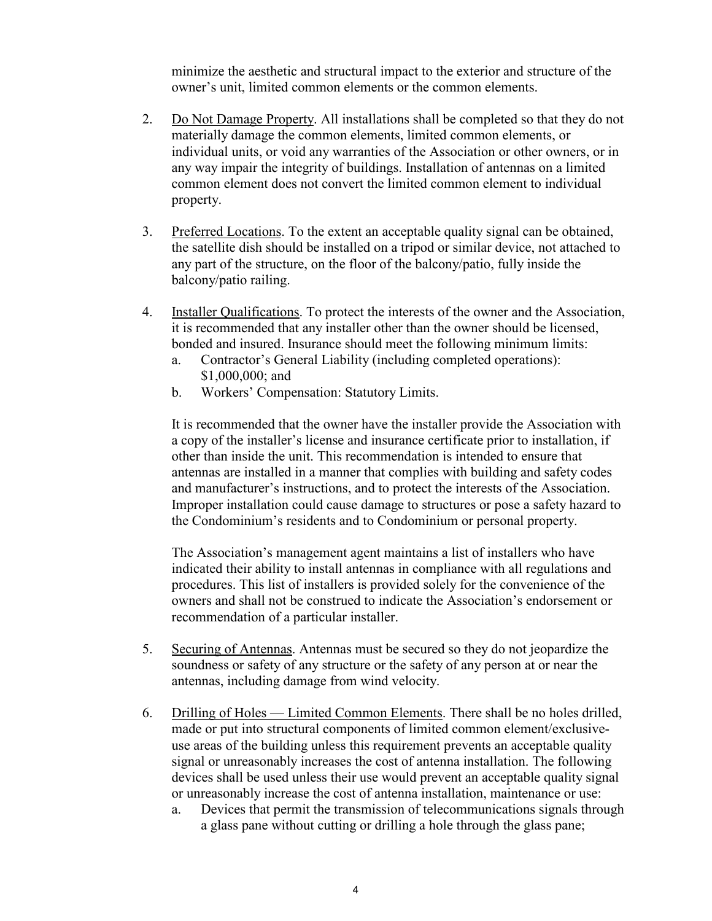minimize the aesthetic and structural impact to the exterior and structure of the owner's unit, limited common elements or the common elements.

- 2. Do Not Damage Property. All installations shall be completed so that they do not materially damage the common elements, limited common elements, or individual units, or void any warranties of the Association or other owners, or in any way impair the integrity of buildings. Installation of antennas on a limited common element does not convert the limited common element to individual property.
- 3. Preferred Locations. To the extent an acceptable quality signal can be obtained, the satellite dish should be installed on a tripod or similar device, not attached to any part of the structure, on the floor of the balcony/patio, fully inside the balcony/patio railing.
- 4. Installer Qualifications. To protect the interests of the owner and the Association, it is recommended that any installer other than the owner should be licensed, bonded and insured. Insurance should meet the following minimum limits:
	- a. Contractor's General Liability (including completed operations): \$1,000,000; and
	- b. Workers' Compensation: Statutory Limits.

It is recommended that the owner have the installer provide the Association with a copy of the installer's license and insurance certificate prior to installation, if other than inside the unit. This recommendation is intended to ensure that antennas are installed in a manner that complies with building and safety codes and manufacturer's instructions, and to protect the interests of the Association. Improper installation could cause damage to structures or pose a safety hazard to the Condominium's residents and to Condominium or personal property.

The Association's management agent maintains a list of installers who have indicated their ability to install antennas in compliance with all regulations and procedures. This list of installers is provided solely for the convenience of the owners and shall not be construed to indicate the Association's endorsement or recommendation of a particular installer.

- 5. Securing of Antennas. Antennas must be secured so they do not jeopardize the soundness or safety of any structure or the safety of any person at or near the antennas, including damage from wind velocity.
- 6. Drilling of Holes Limited Common Elements. There shall be no holes drilled, made or put into structural components of limited common element/exclusiveuse areas of the building unless this requirement prevents an acceptable quality signal or unreasonably increases the cost of antenna installation. The following devices shall be used unless their use would prevent an acceptable quality signal or unreasonably increase the cost of antenna installation, maintenance or use:
	- a. Devices that permit the transmission of telecommunications signals through a glass pane without cutting or drilling a hole through the glass pane;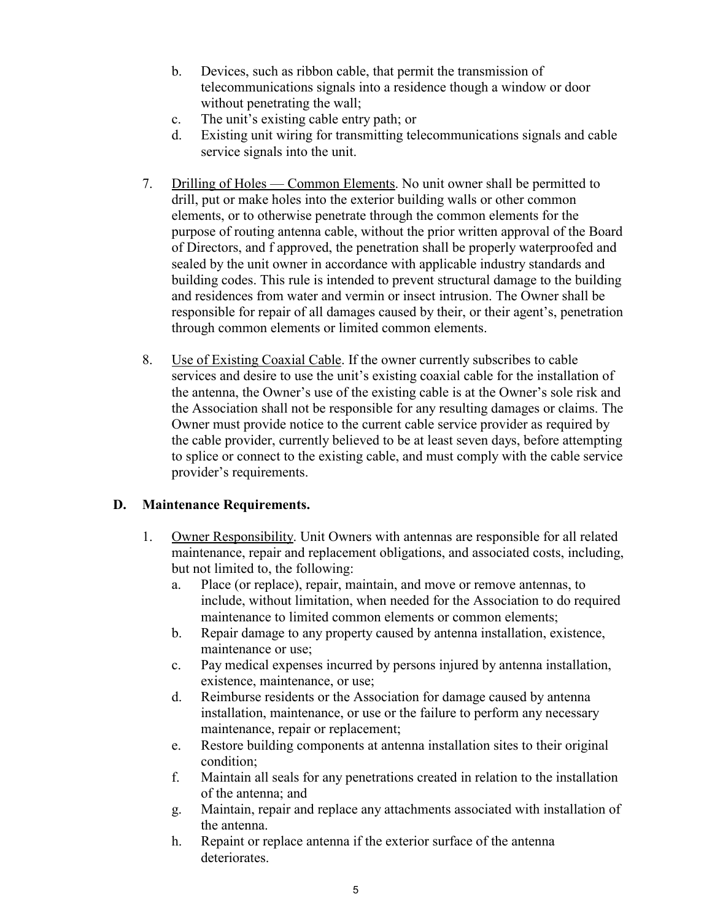- b. Devices, such as ribbon cable, that permit the transmission of telecommunications signals into a residence though a window or door without penetrating the wall;
- c. The unit's existing cable entry path; or
- d. Existing unit wiring for transmitting telecommunications signals and cable service signals into the unit.
- 7. Drilling of Holes Common Elements. No unit owner shall be permitted to drill, put or make holes into the exterior building walls or other common elements, or to otherwise penetrate through the common elements for the purpose of routing antenna cable, without the prior written approval of the Board of Directors, and f approved, the penetration shall be properly waterproofed and sealed by the unit owner in accordance with applicable industry standards and building codes. This rule is intended to prevent structural damage to the building and residences from water and vermin or insect intrusion. The Owner shall be responsible for repair of all damages caused by their, or their agent's, penetration through common elements or limited common elements.
- 8. Use of Existing Coaxial Cable. If the owner currently subscribes to cable services and desire to use the unit's existing coaxial cable for the installation of the antenna, the Owner's use of the existing cable is at the Owner's sole risk and the Association shall not be responsible for any resulting damages or claims. The Owner must provide notice to the current cable service provider as required by the cable provider, currently believed to be at least seven days, before attempting to splice or connect to the existing cable, and must comply with the cable service provider's requirements.

# D. Maintenance Requirements.

- 1. Owner Responsibility. Unit Owners with antennas are responsible for all related maintenance, repair and replacement obligations, and associated costs, including, but not limited to, the following:
	- a. Place (or replace), repair, maintain, and move or remove antennas, to include, without limitation, when needed for the Association to do required maintenance to limited common elements or common elements;
	- b. Repair damage to any property caused by antenna installation, existence, maintenance or use;
	- c. Pay medical expenses incurred by persons injured by antenna installation, existence, maintenance, or use;
	- d. Reimburse residents or the Association for damage caused by antenna installation, maintenance, or use or the failure to perform any necessary maintenance, repair or replacement;
	- e. Restore building components at antenna installation sites to their original condition;
	- f. Maintain all seals for any penetrations created in relation to the installation of the antenna; and
	- g. Maintain, repair and replace any attachments associated with installation of the antenna.
	- h. Repaint or replace antenna if the exterior surface of the antenna deteriorates.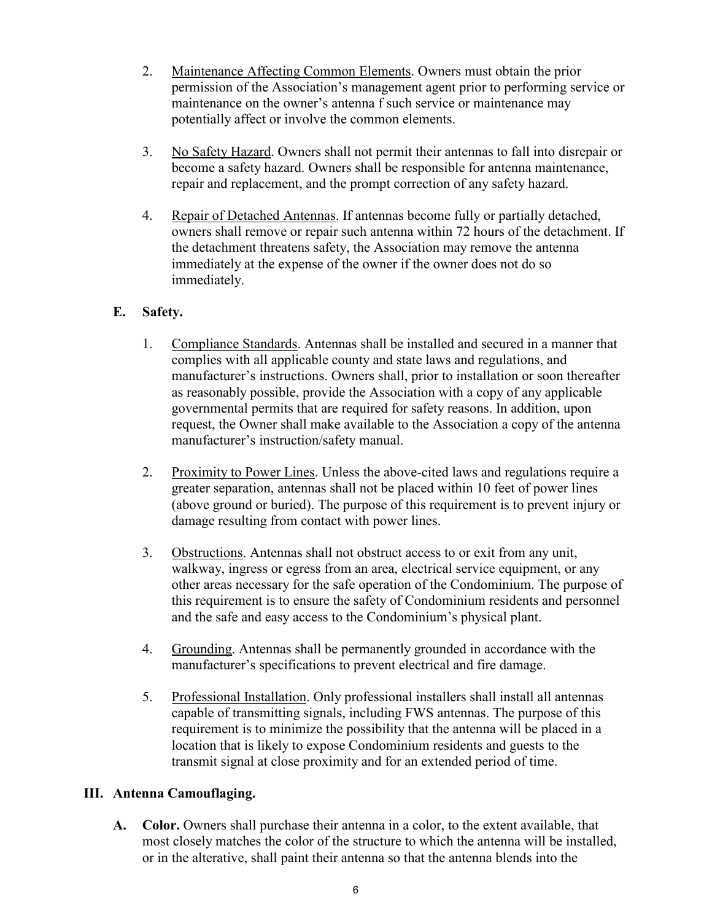- 2. Maintenance Affecting Common Elements. Owners must obtain the prior permission of the Association's management agent prior to performing service or maintenance on the owner's antenna f such service or maintenance may potentially affect or involve the common elements.
- 3. No Safety Hazard. Owners shall not permit their antennas to fall into disrepair or become a safety hazard. Owners shall be responsible for antenna maintenance, repair and replacement, and the prompt correction of any safety hazard.
- 4. Repair of Detached Antennas. If antennas become fully or partially detached, owners shall remove or repair such antenna within 72 hours of the detachment. If the detachment threatens safety, the Association may remove the antenna immediately at the expense of the owner if the owner does not do so immediately.

## E. Safety.

- 1. Compliance Standards. Antennas shall be installed and secured in a manner that complies with all applicable county and state laws and regulations, and manufacturer's instructions. Owners shall, prior to installation or soon thereafter as reasonably possible, provide the Association with a copy of any applicable governmental permits that are required for safety reasons. In addition, upon request, the Owner shall make available to the Association a copy of the antenna manufacturer's instruction/safety manual.
- 2. Proximity to Power Lines. Unless the above-cited laws and regulations require a greater separation, antennas shall not be placed within 10 feet of power lines (above ground or buried). The purpose of this requirement is to prevent injury or damage resulting from contact with power lines.
- 3. Obstructions. Antennas shall not obstruct access to or exit from any unit, walkway, ingress or egress from an area, electrical service equipment, or any other areas necessary for the safe operation of the Condominium. The purpose of this requirement is to ensure the safety of Condominium residents and personnel and the safe and easy access to the Condominium's physical plant.
- 4. Grounding. Antennas shall be permanently grounded in accordance with the manufacturer's specifications to prevent electrical and fire damage.
- 5. Professional Installation. Only professional installers shall install all antennas capable of transmitting signals, including FWS antennas. The purpose of this requirement is to minimize the possibility that the antenna will be placed in a location that is likely to expose Condominium residents and guests to the transmit signal at close proximity and for an extended period of time.

# III. Antenna Camouflaging.

A. Color. Owners shall purchase their antenna in a color, to the extent available, that most closely matches the color of the structure to which the antenna will be installed, or in the alterative, shall paint their antenna so that the antenna blends into the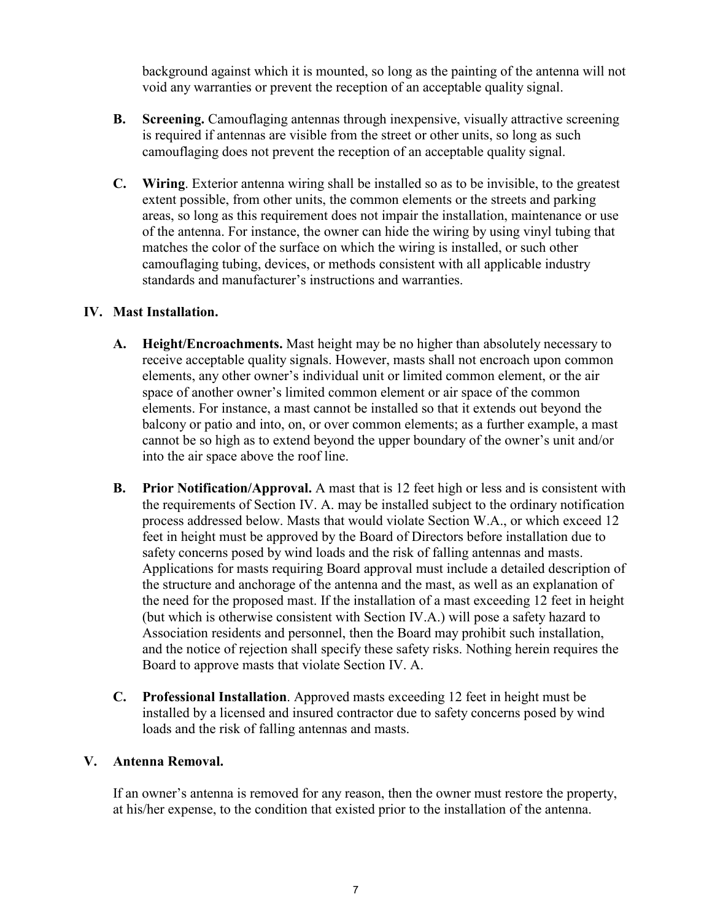background against which it is mounted, so long as the painting of the antenna will not void any warranties or prevent the reception of an acceptable quality signal.

- B. Screening. Camouflaging antennas through inexpensive, visually attractive screening is required if antennas are visible from the street or other units, so long as such camouflaging does not prevent the reception of an acceptable quality signal.
- C. Wiring. Exterior antenna wiring shall be installed so as to be invisible, to the greatest extent possible, from other units, the common elements or the streets and parking areas, so long as this requirement does not impair the installation, maintenance or use of the antenna. For instance, the owner can hide the wiring by using vinyl tubing that matches the color of the surface on which the wiring is installed, or such other camouflaging tubing, devices, or methods consistent with all applicable industry standards and manufacturer's instructions and warranties.

#### IV. Mast Installation.

- A. Height/Encroachments. Mast height may be no higher than absolutely necessary to receive acceptable quality signals. However, masts shall not encroach upon common elements, any other owner's individual unit or limited common element, or the air space of another owner's limited common element or air space of the common elements. For instance, a mast cannot be installed so that it extends out beyond the balcony or patio and into, on, or over common elements; as a further example, a mast cannot be so high as to extend beyond the upper boundary of the owner's unit and/or into the air space above the roof line.
- B. Prior Notification/Approval. A mast that is 12 feet high or less and is consistent with the requirements of Section IV. A. may be installed subject to the ordinary notification process addressed below. Masts that would violate Section W.A., or which exceed 12 feet in height must be approved by the Board of Directors before installation due to safety concerns posed by wind loads and the risk of falling antennas and masts. Applications for masts requiring Board approval must include a detailed description of the structure and anchorage of the antenna and the mast, as well as an explanation of the need for the proposed mast. If the installation of a mast exceeding 12 feet in height (but which is otherwise consistent with Section IV.A.) will pose a safety hazard to Association residents and personnel, then the Board may prohibit such installation, and the notice of rejection shall specify these safety risks. Nothing herein requires the Board to approve masts that violate Section IV. A.
- C. Professional Installation. Approved masts exceeding 12 feet in height must be installed by a licensed and insured contractor due to safety concerns posed by wind loads and the risk of falling antennas and masts.

#### V. Antenna Removal.

If an owner's antenna is removed for any reason, then the owner must restore the property, at his/her expense, to the condition that existed prior to the installation of the antenna.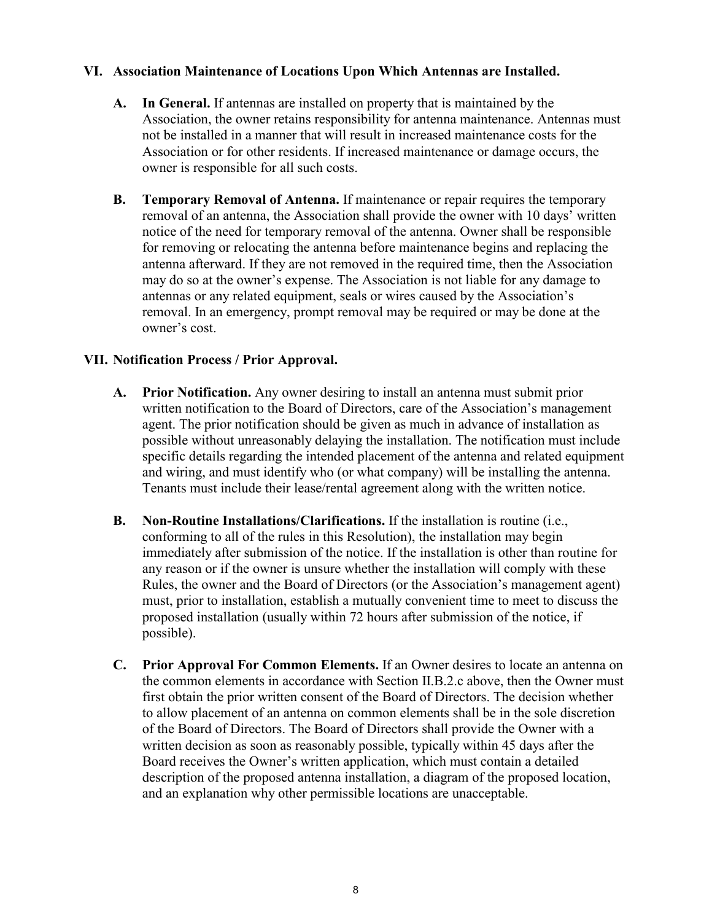#### VI. Association Maintenance of Locations Upon Which Antennas are Installed.

- A. In General. If antennas are installed on property that is maintained by the Association, the owner retains responsibility for antenna maintenance. Antennas must not be installed in a manner that will result in increased maintenance costs for the Association or for other residents. If increased maintenance or damage occurs, the owner is responsible for all such costs.
- B. Temporary Removal of Antenna. If maintenance or repair requires the temporary removal of an antenna, the Association shall provide the owner with 10 days' written notice of the need for temporary removal of the antenna. Owner shall be responsible for removing or relocating the antenna before maintenance begins and replacing the antenna afterward. If they are not removed in the required time, then the Association may do so at the owner's expense. The Association is not liable for any damage to antennas or any related equipment, seals or wires caused by the Association's removal. In an emergency, prompt removal may be required or may be done at the owner's cost.

#### VII. Notification Process / Prior Approval.

- A. Prior Notification. Any owner desiring to install an antenna must submit prior written notification to the Board of Directors, care of the Association's management agent. The prior notification should be given as much in advance of installation as possible without unreasonably delaying the installation. The notification must include specific details regarding the intended placement of the antenna and related equipment and wiring, and must identify who (or what company) will be installing the antenna. Tenants must include their lease/rental agreement along with the written notice.
- B. Non-Routine Installations/Clarifications. If the installation is routine (i.e., conforming to all of the rules in this Resolution), the installation may begin immediately after submission of the notice. If the installation is other than routine for any reason or if the owner is unsure whether the installation will comply with these Rules, the owner and the Board of Directors (or the Association's management agent) must, prior to installation, establish a mutually convenient time to meet to discuss the proposed installation (usually within 72 hours after submission of the notice, if possible).
- C. Prior Approval For Common Elements. If an Owner desires to locate an antenna on the common elements in accordance with Section II.B.2.c above, then the Owner must first obtain the prior written consent of the Board of Directors. The decision whether to allow placement of an antenna on common elements shall be in the sole discretion of the Board of Directors. The Board of Directors shall provide the Owner with a written decision as soon as reasonably possible, typically within 45 days after the Board receives the Owner's written application, which must contain a detailed description of the proposed antenna installation, a diagram of the proposed location, and an explanation why other permissible locations are unacceptable.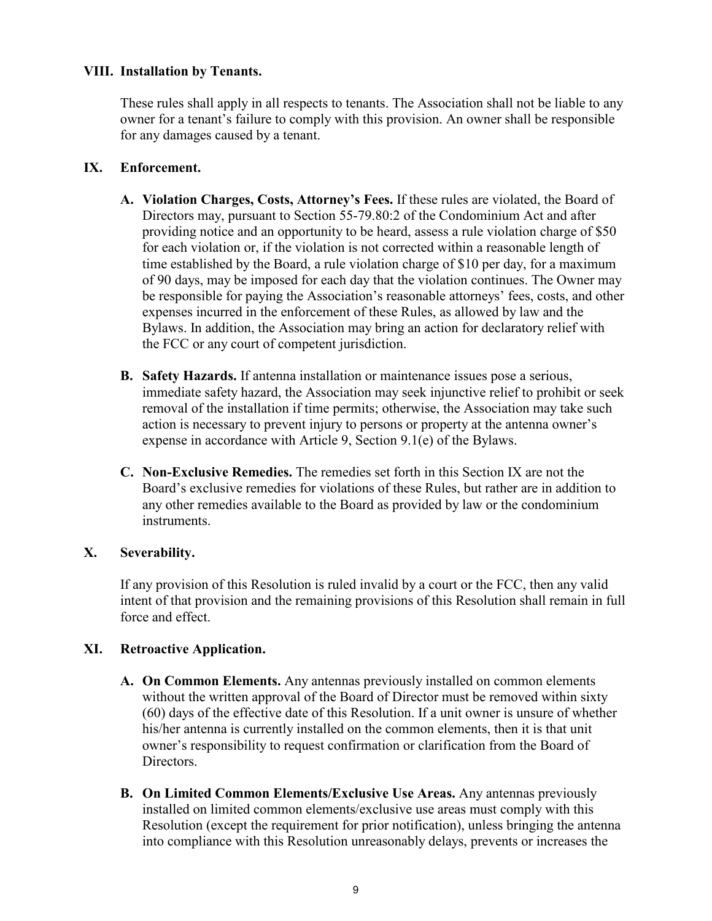#### VIII. Installation by Tenants.

These rules shall apply in all respects to tenants. The Association shall not be liable to any owner for a tenant's failure to comply with this provision. An owner shall be responsible for any damages caused by a tenant.

#### IX. Enforcement.

- A. Violation Charges, Costs, Attorney's Fees. If these rules are violated, the Board of Directors may, pursuant to Section 55-79.80:2 of the Condominium Act and after providing notice and an opportunity to be heard, assess a rule violation charge of \$50 for each violation or, if the violation is not corrected within a reasonable length of time established by the Board, a rule violation charge of \$10 per day, for a maximum of 90 days, may be imposed for each day that the violation continues. The Owner may be responsible for paying the Association's reasonable attorneys' fees, costs, and other expenses incurred in the enforcement of these Rules, as allowed by law and the Bylaws. In addition, the Association may bring an action for declaratory relief with the FCC or any court of competent jurisdiction.
- B. Safety Hazards. If antenna installation or maintenance issues pose a serious, immediate safety hazard, the Association may seek injunctive relief to prohibit or seek removal of the installation if time permits; otherwise, the Association may take such action is necessary to prevent injury to persons or property at the antenna owner's expense in accordance with Article 9, Section 9.1(e) of the Bylaws.
- C. Non-Exclusive Remedies. The remedies set forth in this Section IX are not the Board's exclusive remedies for violations of these Rules, but rather are in addition to any other remedies available to the Board as provided by law or the condominium instruments.

## X. Severability.

If any provision of this Resolution is ruled invalid by a court or the FCC, then any valid intent of that provision and the remaining provisions of this Resolution shall remain in full force and effect.

#### XI. Retroactive Application.

- A. On Common Elements. Any antennas previously installed on common elements without the written approval of the Board of Director must be removed within sixty (60) days of the effective date of this Resolution. If a unit owner is unsure of whether his/her antenna is currently installed on the common elements, then it is that unit owner's responsibility to request confirmation or clarification from the Board of Directors.
- B. On Limited Common Elements/Exclusive Use Areas. Any antennas previously installed on limited common elements/exclusive use areas must comply with this Resolution (except the requirement for prior notification), unless bringing the antenna into compliance with this Resolution unreasonably delays, prevents or increases the